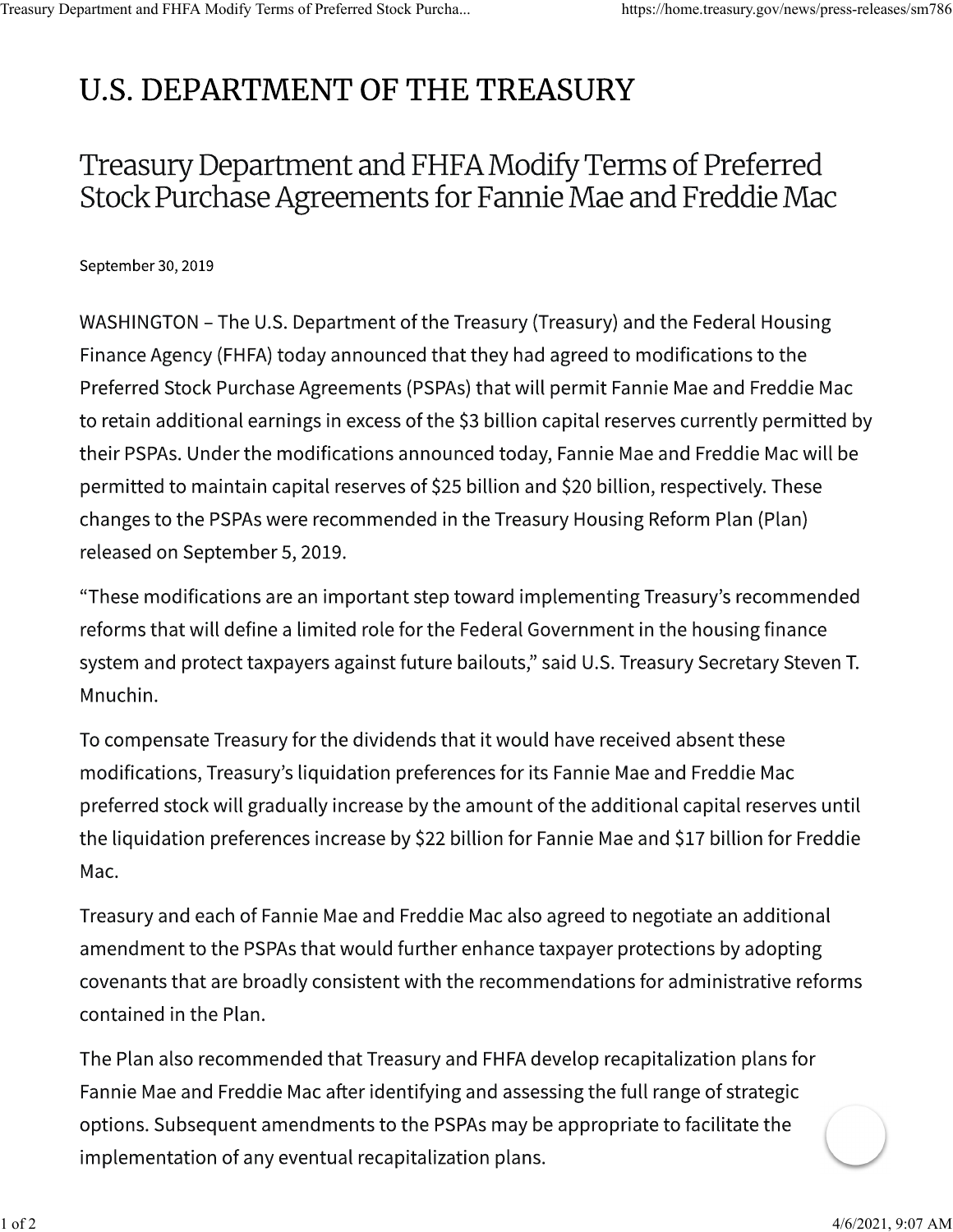## **U.S. DEPARTMENT OF THE TREASURY**

## Treasury Department and FHFA Modify Terms of Preferred Stock Purchase Agreements for Fannie Mae and Freddie Mac

September 30, 2019

WASHINGTON - The U.S. Department of the Treasury (Treasury) and the Federal Housing Finance Agency (FHFA) today announced that they had agreed to modifications to the Preferred Stock Purchase Agreements (PSPAs) that will permit Fannie Mae and Freddie Mac to retain additional earnings in excess of the \$3 billion capital reserves currently permitted by their PSPAs. Under the modifications announced today, Fannie Mae and Freddie Mac will be permitted to maintain capital reserves of \$25 billion and \$20 billion, respectively. These changes to the PSPAs were recommended in the Treasury Housing Reform Plan (Plan) released on September 5, 2019.

"These modifications are an important step toward implementing Treasury's recommended reforms that will define a limited role for the Federal Government in the housing finance system and protect taxpayers against future bailouts," said U.S. Treasury Secretary Steven T. Mnuchin.

To compensate Treasury for the dividends that it would have received absent these modifications, Treasury's liquidation preferences for its Fannie Mae and Freddie Mac preferred stock will gradually increase by the amount of the additional capital reserves until the liquidation preferences increase by \$22 billion for Fannie Mae and \$17 billion for Freddie Mac.

Treasury and each of Fannie Mae and Freddie Mac also agreed to negotiate an additional amendment to the PSPAs that would further enhance taxpayer protections by adopting covenants that are broadly consistent with the recommendations for administrative reforms contained in the Plan.

The Plan also recommended that Treasury and FHFA develop recapitalization plans for Fannie Mae and Freddie Mac after identifying and assessing the full range of strategic options. Subsequent amendments to the PSPAs may be appropriate to facilitate the implementation of any eventual recapitalization plans.